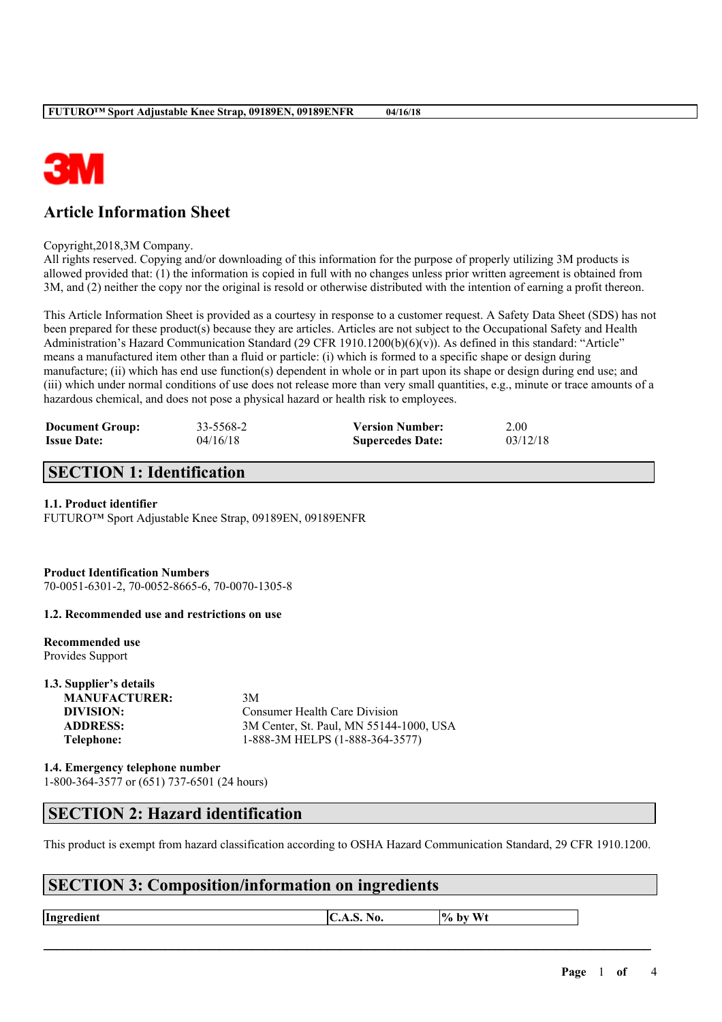

# **Article Information Sheet**

Copyright,2018,3M Company.

All rights reserved. Copying and/or downloading of this information for the purpose of properly utilizing 3M products is allowed provided that: (1) the information is copied in full with no changes unless prior written agreement is obtained from 3M, and (2) neither the copy nor the original is resold or otherwise distributed with the intention of earning a profit thereon.

This Article Information Sheet is provided as a courtesy in response to a customer request. A Safety Data Sheet (SDS) has not been prepared for these product(s) because they are articles. Articles are not subject to the Occupational Safety and Health Administration's Hazard Communication Standard (29 CFR 1910.1200(b)(6)(v)). As defined in this standard: "Article" means a manufactured item other than a fluid or particle: (i) which is formed to a specific shape or design during manufacture; (ii) which has end use function(s) dependent in whole or in part upon its shape or design during end use; and (iii) which under normal conditions of use does not release more than very small quantities, e.g., minute or trace amounts of a hazardous chemical, and does not pose a physical hazard or health risk to employees.

| <b>Document Group:</b> | 33-5568-2 | <b>Version Number:</b>  | 2.00     |
|------------------------|-----------|-------------------------|----------|
| <b>Issue Date:</b>     | 04/16/18  | <b>Supercedes Date:</b> | 03/12/18 |

# **SECTION 1: Identification**

### **1.1. Product identifier**

FUTURO™ Sport Adjustable Knee Strap, 09189EN, 09189ENFR

**Product Identification Numbers**

70-0051-6301-2, 70-0052-8665-6, 70-0070-1305-8

**1.2. Recommended use and restrictions on use**

**Recommended use** Provides Support

**1.3. Supplier's details MANUFACTURER:** 3M

**DIVISION:** Consumer Health Care Division **ADDRESS:** 3M Center, St. Paul, MN 55144-1000, USA **Telephone:** 1-888-3M HELPS (1-888-364-3577)

**1.4. Emergency telephone number** 1-800-364-3577 or (651) 737-6501 (24 hours)

## **SECTION 2: Hazard identification**

This product is exempt from hazard classification according to OSHA Hazard Communication Standard, 29 CFR 1910.1200.

# **SECTION 3: Composition/information on ingredients**

**Ingredient**  $\begin{bmatrix} CA.S. No. \end{bmatrix}$   $\begin{bmatrix} \% & \% & \% \end{bmatrix}$   $\begin{bmatrix} \% & \% & \% \end{bmatrix}$   $\begin{bmatrix} \% & \% & \% \end{bmatrix}$   $\begin{bmatrix} \% & \% & \% \end{bmatrix}$   $\begin{bmatrix} \% & \% & \% \end{bmatrix}$   $\begin{bmatrix} \% & \% & \% \end{bmatrix}$   $\begin{bmatrix} \% & \% & \% \end{bmatrix}$   $\begin{bmatrix} \% & \% & \% \end{bmatrix}$   $\begin{b$ 

 $\mathcal{L}_\mathcal{L} = \mathcal{L}_\mathcal{L} = \mathcal{L}_\mathcal{L} = \mathcal{L}_\mathcal{L} = \mathcal{L}_\mathcal{L} = \mathcal{L}_\mathcal{L} = \mathcal{L}_\mathcal{L} = \mathcal{L}_\mathcal{L} = \mathcal{L}_\mathcal{L} = \mathcal{L}_\mathcal{L} = \mathcal{L}_\mathcal{L} = \mathcal{L}_\mathcal{L} = \mathcal{L}_\mathcal{L} = \mathcal{L}_\mathcal{L} = \mathcal{L}_\mathcal{L} = \mathcal{L}_\mathcal{L} = \mathcal{L}_\mathcal{L}$ 

**Page** 1 **of** 4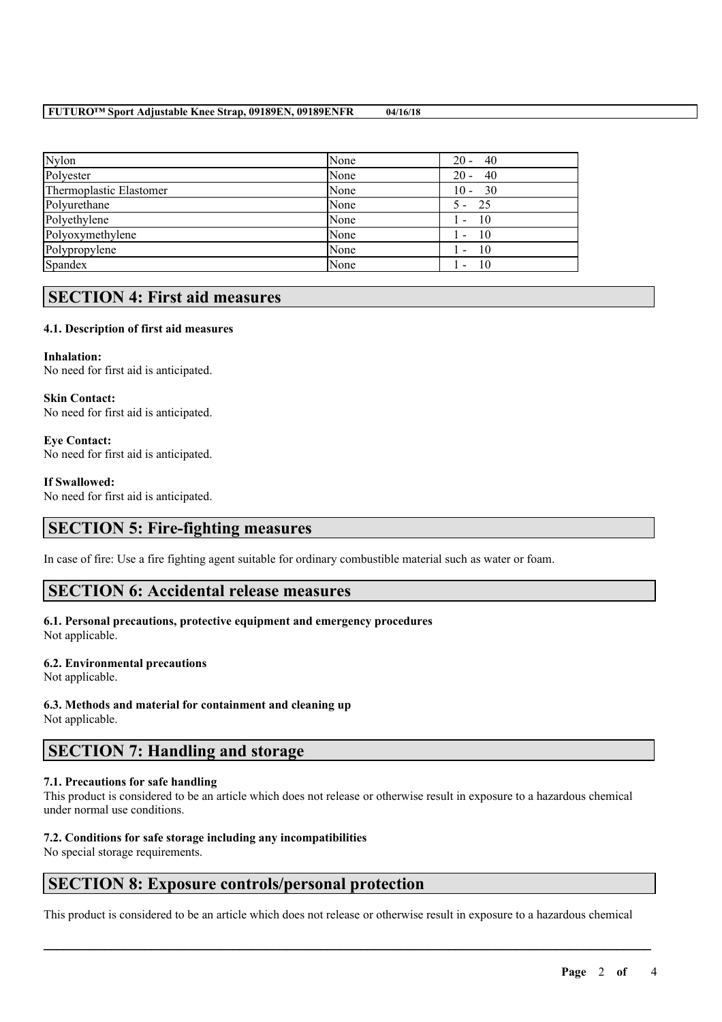#### **FUTURO™ Sport Adjustable Knee Strap, 09189EN, 09189ENFR 04/16/18**

| None | 40<br>$20 -$                     |
|------|----------------------------------|
| None | $20 -$<br>40                     |
| None | $10 - 30$                        |
| None | - 25                             |
| None | - 10                             |
| None | - 10<br>$\overline{\phantom{a}}$ |
| None | - 10                             |
| None | -10                              |
|      |                                  |

## **SECTION 4: First aid measures**

### **4.1. Description of first aid measures**

### **Inhalation:**

No need for first aid is anticipated.

**Skin Contact:** No need for first aid is anticipated.

**Eye Contact:** No need for first aid is anticipated.

#### **If Swallowed:**

No need for first aid is anticipated.

## **SECTION 5: Fire-fighting measures**

In case of fire: Use a fire fighting agent suitable for ordinary combustible material such as water or foam.

## **SECTION 6: Accidental release measures**

#### **6.1. Personal precautions, protective equipment and emergency procedures** Not applicable.

#### **6.2. Environmental precautions**

Not applicable.

#### **6.3. Methods and material for containment and cleaning up** Not applicable.

## **SECTION 7: Handling and storage**

#### **7.1. Precautions for safe handling**

This product is considered to be an article which does not release or otherwise result in exposure to a hazardous chemical under normal use conditions.

### **7.2. Conditions for safe storage including any incompatibilities**

No special storage requirements.

## **SECTION 8: Exposure controls/personal protection**

This product is considered to be an article which does not release or otherwise result in exposure to a hazardous chemical

 $\mathcal{L}_\mathcal{L} = \mathcal{L}_\mathcal{L} = \mathcal{L}_\mathcal{L} = \mathcal{L}_\mathcal{L} = \mathcal{L}_\mathcal{L} = \mathcal{L}_\mathcal{L} = \mathcal{L}_\mathcal{L} = \mathcal{L}_\mathcal{L} = \mathcal{L}_\mathcal{L} = \mathcal{L}_\mathcal{L} = \mathcal{L}_\mathcal{L} = \mathcal{L}_\mathcal{L} = \mathcal{L}_\mathcal{L} = \mathcal{L}_\mathcal{L} = \mathcal{L}_\mathcal{L} = \mathcal{L}_\mathcal{L} = \mathcal{L}_\mathcal{L}$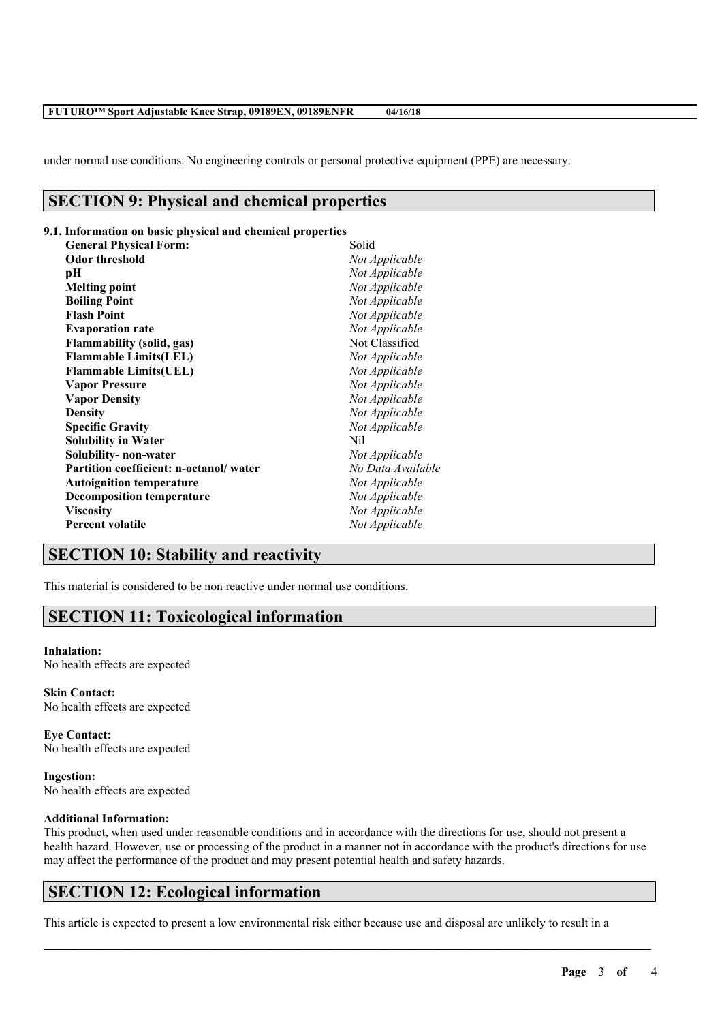#### **FUTURO™ Sport Adjustable Knee Strap, 09189EN, 09189ENFR 04/16/18**

under normal use conditions. No engineering controls or personal protective equipment (PPE) are necessary.

### **SECTION 9: Physical and chemical properties**

### **9.1. Information on basic physical and chemical properties**

| <b>General Physical Form:</b>          | Solid             |
|----------------------------------------|-------------------|
| <b>Odor threshold</b>                  | Not Applicable    |
| pН                                     | Not Applicable    |
| <b>Melting point</b>                   | Not Applicable    |
| <b>Boiling Point</b>                   | Not Applicable    |
| <b>Flash Point</b>                     | Not Applicable    |
| <b>Evaporation rate</b>                | Not Applicable    |
| <b>Flammability (solid, gas)</b>       | Not Classified    |
| <b>Flammable Limits(LEL)</b>           | Not Applicable    |
| <b>Flammable Limits(UEL)</b>           | Not Applicable    |
| <b>Vapor Pressure</b>                  | Not Applicable    |
| <b>Vapor Density</b>                   | Not Applicable    |
| <b>Density</b>                         | Not Applicable    |
| <b>Specific Gravity</b>                | Not Applicable    |
| <b>Solubility in Water</b>             | Nil               |
| Solubility- non-water                  | Not Applicable    |
| Partition coefficient: n-octanol/water | No Data Available |
| <b>Autoignition temperature</b>        | Not Applicable    |
| <b>Decomposition temperature</b>       | Not Applicable    |
| <b>Viscosity</b>                       | Not Applicable    |
| <b>Percent volatile</b>                | Not Applicable    |
|                                        |                   |

## **SECTION 10: Stability and reactivity**

This material is considered to be non reactive under normal use conditions.

## **SECTION 11: Toxicological information**

#### **Inhalation:**

No health effects are expected

**Skin Contact:** No health effects are expected

**Eye Contact:** No health effects are expected

**Ingestion:** No health effects are expected

#### **Additional Information:**

This product, when used under reasonable conditions and in accordance with the directions for use, should not present a health hazard. However, use or processing of the product in a manner not in accordance with the product's directions for use may affect the performance of the product and may present potential health and safety hazards.

 $\mathcal{L}_\mathcal{L} = \mathcal{L}_\mathcal{L} = \mathcal{L}_\mathcal{L} = \mathcal{L}_\mathcal{L} = \mathcal{L}_\mathcal{L} = \mathcal{L}_\mathcal{L} = \mathcal{L}_\mathcal{L} = \mathcal{L}_\mathcal{L} = \mathcal{L}_\mathcal{L} = \mathcal{L}_\mathcal{L} = \mathcal{L}_\mathcal{L} = \mathcal{L}_\mathcal{L} = \mathcal{L}_\mathcal{L} = \mathcal{L}_\mathcal{L} = \mathcal{L}_\mathcal{L} = \mathcal{L}_\mathcal{L} = \mathcal{L}_\mathcal{L}$ 

## **SECTION 12: Ecological information**

This article is expected to present a low environmental risk either because use and disposal are unlikely to result in a